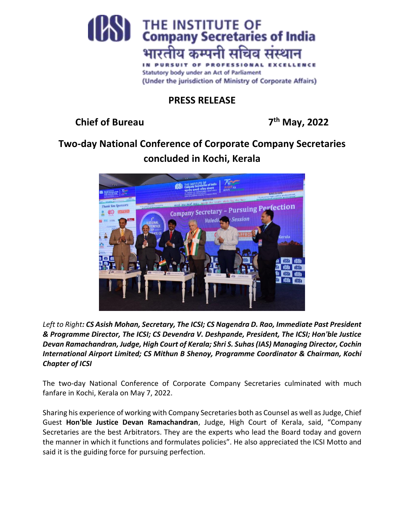

## **PRESS RELEASE**

**Chief of Bureau 7**

**th May, 2022**

## **Two-day National Conference of Corporate Company Secretaries concluded in Kochi, Kerala**



*Left to Right: CS Asish Mohan, Secretary, The ICSI; CS Nagendra D. Rao, Immediate Past President & Programme Director, The ICSI; CS Devendra V. Deshpande, President, The ICSI; Hon'ble Justice Devan Ramachandran, Judge, High Court of Kerala; Shri S. Suhas (IAS) Managing Director, Cochin International Airport Limited; CS Mithun B Shenoy, Programme Coordinator & Chairman, Kochi Chapter of ICSI*

The two-day National Conference of Corporate Company Secretaries culminated with much fanfare in Kochi, Kerala on May 7, 2022.

Sharing his experience of working with Company Secretaries both as Counsel as well as Judge, Chief Guest **Hon'ble Justice Devan Ramachandran**, Judge, High Court of Kerala, said, "Company Secretaries are the best Arbitrators. They are the experts who lead the Board today and govern the manner in which it functions and formulates policies". He also appreciated the ICSI Motto and said it is the guiding force for pursuing perfection.